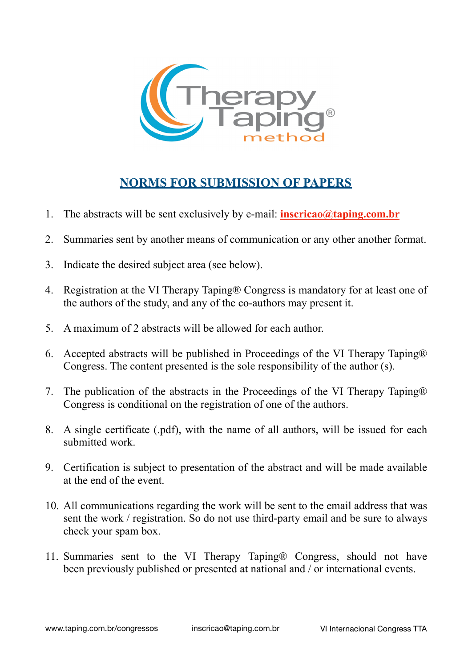

### **NORMS FOR SUBMISSION OF PAPERS**

- 1. The abstracts will be sent exclusively by e-mail: **[inscricao@taping.com.br](mailto:inscricao@taping.com.br)**
- 2. Summaries sent by another means of communication or any other another format.
- 3. Indicate the desired subject area (see below).
- 4. Registration at the VI Therapy Taping® Congress is mandatory for at least one of the authors of the study, and any of the co-authors may present it.
- 5. A maximum of 2 abstracts will be allowed for each author.
- 6. Accepted abstracts will be published in Proceedings of the VI Therapy Taping® Congress. The content presented is the sole responsibility of the author (s).
- 7. The publication of the abstracts in the Proceedings of the VI Therapy Taping® Congress is conditional on the registration of one of the authors.
- 8. A single certificate (.pdf), with the name of all authors, will be issued for each submitted work.
- 9. Certification is subject to presentation of the abstract and will be made available at the end of the event.
- 10. All communications regarding the work will be sent to the email address that was sent the work / registration. So do not use third-party email and be sure to always check your spam box.
- 11. Summaries sent to the VI Therapy Taping® Congress, should not have been previously published or presented at national and / or international events.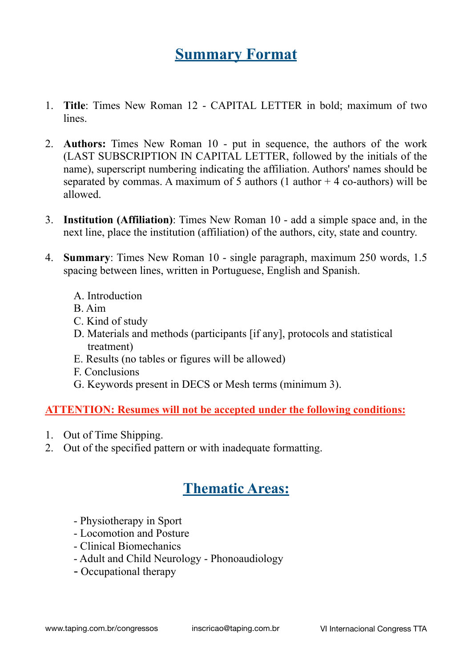## **Summary Format**

- 1. **Title**: Times New Roman 12 CAPITAL LETTER in bold; maximum of two lines.
- 2. **Authors:** Times New Roman 10 put in sequence, the authors of the work (LAST SUBSCRIPTION IN CAPITAL LETTER, followed by the initials of the name), superscript numbering indicating the affiliation. Authors' names should be separated by commas. A maximum of 5 authors (1 author  $+ 4$  co-authors) will be allowed.
- 3. **Institution (Affiliation)**: Times New Roman 10 add a simple space and, in the next line, place the institution (affiliation) of the authors, city, state and country.
- 4. **Summary**: Times New Roman 10 single paragraph, maximum 250 words, 1.5 spacing between lines, written in Portuguese, English and Spanish.
	- A. Introduction
	- B. Aim
	- C. Kind of study
	- D. Materials and methods (participants [if any], protocols and statistical treatment)
	- E. Results (no tables or figures will be allowed)
	- F. Conclusions
	- G. Keywords present in DECS or Mesh terms (minimum 3).

#### **ATTENTION: Resumes will not be accepted under the following conditions:**

- 1. Out of Time Shipping.
- 2. Out of the specified pattern or with inadequate formatting.

### **Thematic Areas:**

- Physiotherapy in Sport
- Locomotion and Posture
- Clinical Biomechanics
- Adult and Child Neurology Phonoaudiology
- Occupational therapy